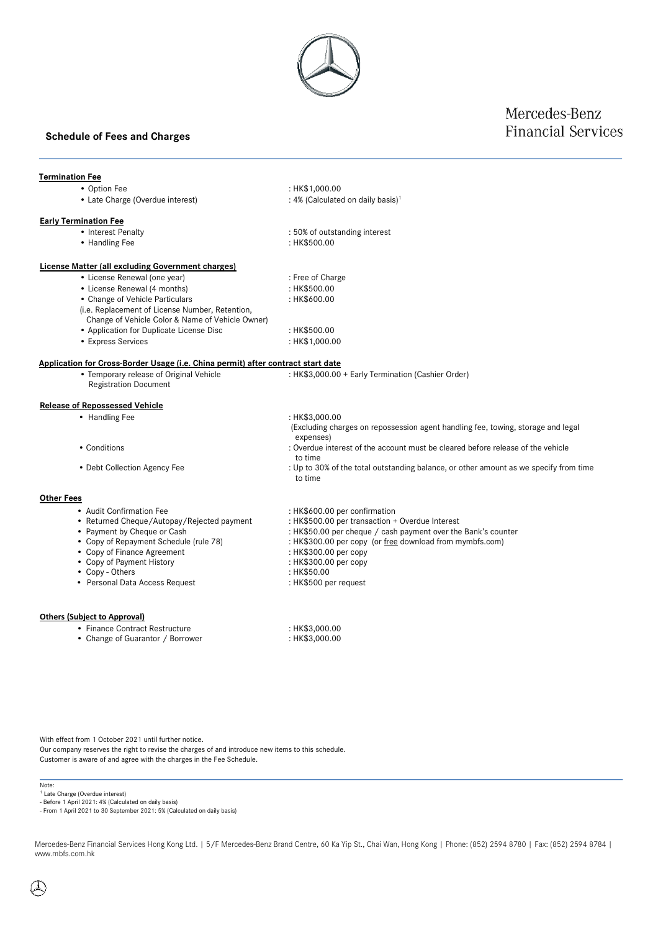## **Schedule of Fees and Charges**

## Mercedes-Benz **Financial Services**

### **Termination Fee**

- Option Fee : HK\$1,000.00
- Late Charge (Overdue interest)

#### **Early Termination Fee**

- 
- Handling Fee
- Interest Penalty **and Equation 1.50%** of outstanding interest<br>• Handling Fee **interest** : HK\$500.00

: 4% (Calculated on daily basis) 1

### **License Matter (all excluding Government charges)**

- License Renewal (one year) : Free of Charge
- License Renewal (4 months)
- Change of Vehicle Particulars
- (i.e. Replacement of License Number, Retention,
- Change of Vehicle Color & Name of Vehicle Owner)
- Application for Duplicate License Disc : HK\$500.00
	-
- 

: HK\$600.00

- 
- **Application for Cross-Border Usage (i.e. China permit) after contract start date**
	- Temporary release of Original Vehicle Registration Document

#### **Release of Repossessed Vehicle**

- 
- 
- 

#### **Other Fees**

- 
- Returned Cheque/Autopay/Rejected payment<br>• Payment by Cheque or Cash
- 
- 
- 
- 
- 
- Personal Data Access Request

#### **Others (Subject to Approval)**

- 
- Change of Guarantor / Borrower : HK\$3,000.00
- 

With effect from 1 October 2021 until further notice. Our company reserves the right to revise the charges of and introduce new items to this schedule. Customer is aware of and agree with the charges in the Fee Schedule.

- Note:
- <sup>1</sup> Late Charge (Overdue interest) - Before 1 April 2021: 4% (Calculated on daily basis)

- From 1 April 2021 to 30 September 2021: 5% (Calculated on daily basis)

Mercedes-Benz Financial Services Hong Kong Ltd. | 5/F Mercedes-Benz Brand Centre, 60 Ka Yip St., Chai Wan, Hong Kong | Phone: (852) 2594 8780 | Fax: (852) 2594 8784 | www.mbfs.com.hk

- Express Services : HK\$1,000.00 : HK\$3,000.00 + Early Termination (Cashier Order) • Handling Fee : HK\$3,000.00 (Excluding charges on repossession agent handling fee, towing, storage and legal expenses) • Conditions **conditions** : Overdue interest of the account must be cleared before release of the vehicle to time • Debt Collection Agency Fee : Up to 30% of the total outstanding balance, or other amount as we specify from time to time • Audit Confirmation Fee : its approximation the distribution of the section of the section of the section of the metal of the metal of the section of the metal of the section of the metal of the section of the section of • Payment by Cheque or Cash : HK\$50.00 per cheque / cash payment over the Bank's counter<br>• Copy of Repayment Schedule (rule 78) : HK\$300.00 per copy (or free download from mymbfs.com) : HK\$300.00 per copy (or free download from mymbfs.com) • Copy of Finance Agreement : HK\$300.00 per copy • Copy of Payment History : HK\$300.00 per copy • Copy - Others : HK\$50.00
- Finance Contract Restructure : HK\$3,000.00